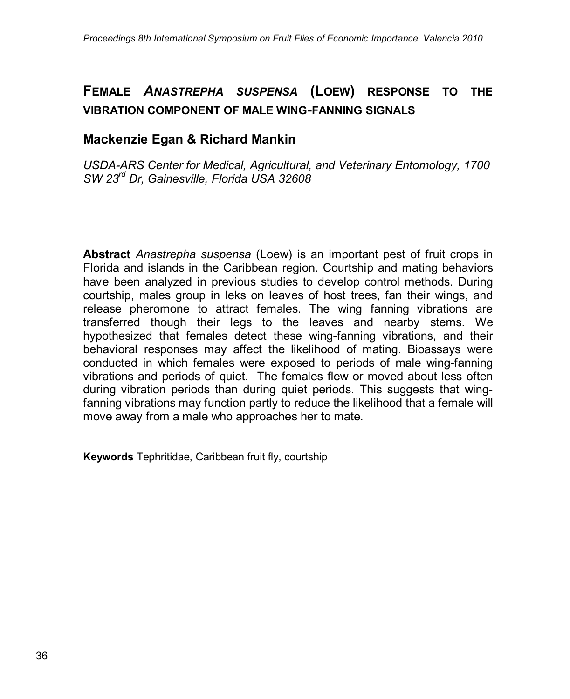# **FEMALE** *ANASTREPHA SUSPENSA* **(LOEW) RESPONSE TO THE VIBRATION COMPONENT OF MALE WING-FANNING SIGNALS**

## **Mackenzie Egan & Richard Mankin**

*USDA-ARS Center for Medical, Agricultural, and Veterinary Entomology, 1700 SW 23rd Dr, Gainesville, Florida USA 32608*

**Abstract** *Anastrepha suspensa* (Loew) is an important pest of fruit crops in Florida and islands in the Caribbean region. Courtship and mating behaviors have been analyzed in previous studies to develop control methods. During courtship, males group in leks on leaves of host trees, fan their wings, and release pheromone to attract females. The wing fanning vibrations are transferred though their legs to the leaves and nearby stems. We hypothesized that females detect these wing-fanning vibrations, and their behavioral responses may affect the likelihood of mating. Bioassays were conducted in which females were exposed to periods of male wing-fanning vibrations and periods of quiet. The females flew or moved about less often during vibration periods than during quiet periods. This suggests that wingfanning vibrations may function partly to reduce the likelihood that a female will move away from a male who approaches her to mate.

**Keywords** Tephritidae, Caribbean fruit fly, courtship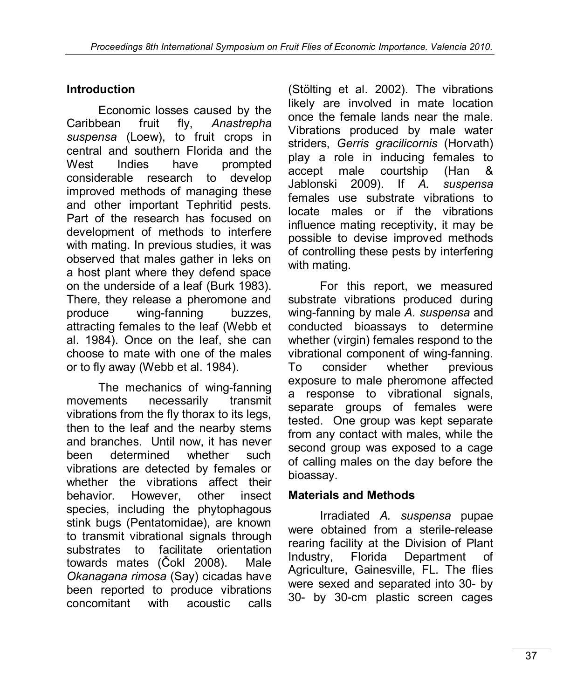## **Introduction**

Economic losses caused by the Caribbean fruit fly, *Anastrepha suspensa* (Loew), to fruit crops in central and southern Florida and the West Indies have prompted considerable research to develop improved methods of managing these and other important Tephritid pests. Part of the research has focused on development of methods to interfere with mating. In previous studies, it was observed that males gather in leks on a host plant where they defend space on the underside of a leaf (Burk 1983). There, they release a pheromone and produce wing-fanning buzzes, attracting females to the leaf (Webb et al. 1984). Once on the leaf, she can choose to mate with one of the males or to fly away (Webb et al. 1984).

The mechanics of wing-fanning movements necessarily transmit vibrations from the fly thorax to its legs, then to the leaf and the nearby stems and branches. Until now, it has never been determined whether such vibrations are detected by females or whether the vibrations affect their behavior. However, other insect species, including the phytophagous stink bugs (Pentatomidae), are known to transmit vibrational signals through substrates to facilitate orientation towards mates (Čokl 2008). Male *Okanagana rimosa* (Say) cicadas have been reported to produce vibrations concomitant with acoustic calls

(Stölting et al. 2002). The vibrations likely are involved in mate location once the female lands near the male. Vibrations produced by male water striders, *Gerris gracilicornis* (Horvath) play a role in inducing females to accept male courtship (Han & Jablonski 2009). If *A. suspensa* females use substrate vibrations to locate males or if the vibrations influence mating receptivity, it may be possible to devise improved methods of controlling these pests by interfering with mating.

For this report, we measured substrate vibrations produced during wing-fanning by male *A. suspensa* and conducted bioassays to determine whether (virgin) females respond to the vibrational component of wing-fanning. To consider whether previous exposure to male pheromone affected a response to vibrational signals, separate groups of females were tested. One group was kept separate from any contact with males, while the second group was exposed to a cage of calling males on the day before the bioassay.

#### **Materials and Methods**

Irradiated *A. suspensa* pupae were obtained from a sterile-release rearing facility at the Division of Plant Industry, Florida Department of Agriculture, Gainesville, FL. The flies were sexed and separated into 30- by 30- by 30-cm plastic screen cages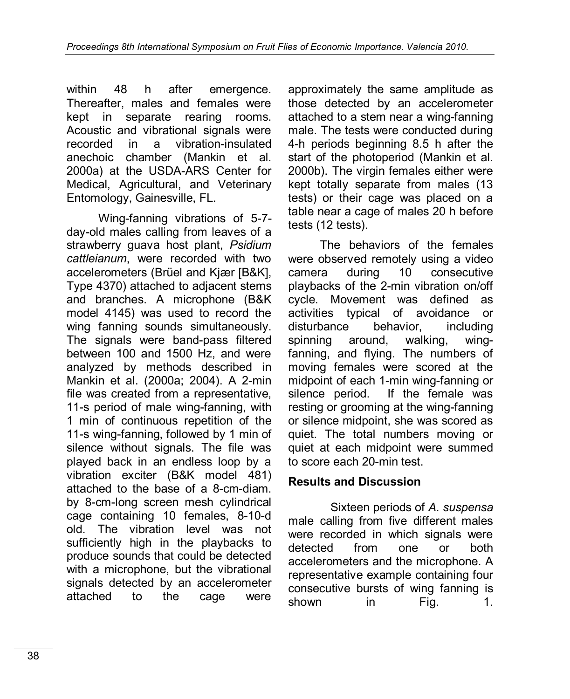within 48 h after emergence. Thereafter, males and females were kept in separate rearing rooms. Acoustic and vibrational signals were recorded in a vibration-insulated anechoic chamber (Mankin et al. 2000a) at the USDA-ARS Center for Medical, Agricultural, and Veterinary Entomology, Gainesville, FL.

Wing-fanning vibrations of 5-7 day-old males calling from leaves of a strawberry guava host plant, *Psidium cattleianum*, were recorded with two accelerometers (Brüel and Kjær [B&K], Type 4370) attached to adjacent stems and branches. A microphone (B&K model 4145) was used to record the wing fanning sounds simultaneously. The signals were band-pass filtered between 100 and 1500 Hz, and were analyzed by methods described in Mankin et al. (2000a; 2004). A 2-min file was created from a representative, 11-s period of male wing-fanning, with 1 min of continuous repetition of the 11-s wing-fanning, followed by 1 min of silence without signals. The file was played back in an endless loop by a vibration exciter (B&K model 481) attached to the base of a 8-cm-diam. by 8-cm-long screen mesh cylindrical cage containing 10 females, 8-10-d old. The vibration level was not sufficiently high in the playbacks to produce sounds that could be detected with a microphone, but the vibrational signals detected by an accelerometer attached to the cage were

approximately the same amplitude as those detected by an accelerometer attached to a stem near a wing-fanning male. The tests were conducted during 4-h periods beginning 8.5 h after the start of the photoperiod (Mankin et al. 2000b). The virgin females either were kept totally separate from males (13 tests) or their cage was placed on a table near a cage of males 20 h before tests (12 tests).

The behaviors of the females were observed remotely using a video camera during 10 consecutive playbacks of the 2-min vibration on/off cycle. Movement was defined as activities typical of avoidance or disturbance behavior, including spinning around, walking, wingfanning, and flying. The numbers of moving females were scored at the midpoint of each 1-min wing-fanning or silence period. If the female was resting or grooming at the wing-fanning or silence midpoint, she was scored as quiet. The total numbers moving or quiet at each midpoint were summed to score each 20-min test.

#### **Results and Discussion**

Sixteen periods of *A. suspensa* male calling from five different males were recorded in which signals were detected from one or both accelerometers and the microphone. A representative example containing four consecutive bursts of wing fanning is shown in Fig. 1.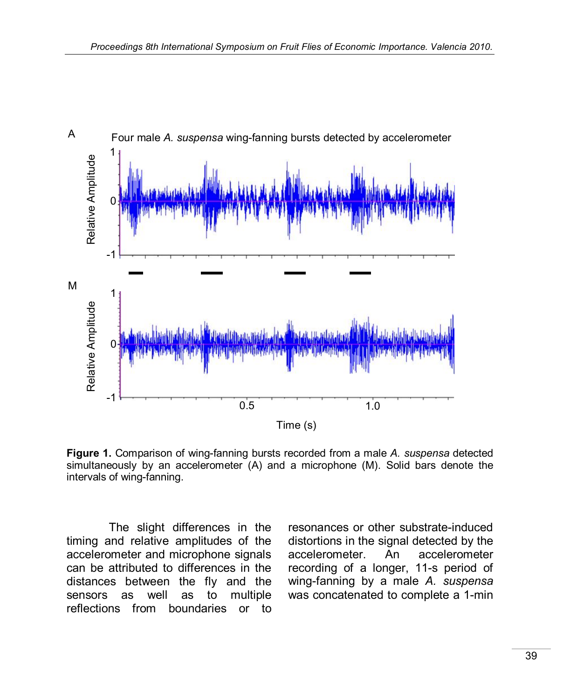

**Figure 1.** Comparison of wing-fanning bursts recorded from a male *A. suspensa* detected simultaneously by an accelerometer (A) and a microphone (M). Solid bars denote the intervals of wing-fanning.

The slight differences in the timing and relative amplitudes of the accelerometer and microphone signals can be attributed to differences in the distances between the fly and the sensors as well as to multiple reflections from boundaries or to

resonances or other substrate-induced distortions in the signal detected by the accelerometer. An accelerometer recording of a longer, 11-s period of wing-fanning by a male *A. suspensa* was concatenated to complete a 1-min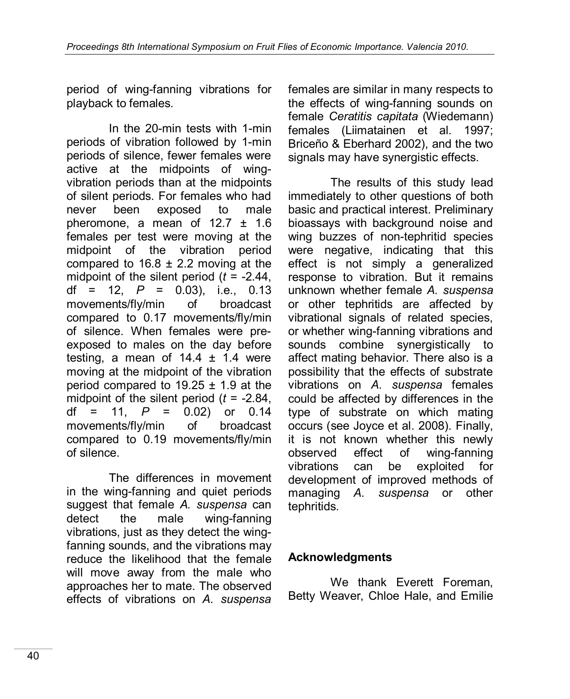period of wing-fanning vibrations for playback to females.

In the 20-min tests with 1-min periods of vibration followed by 1-min periods of silence, fewer females were active at the midpoints of wingvibration periods than at the midpoints of silent periods. For females who had never been exposed to male pheromone, a mean of 12.7 ± 1.6 females per test were moving at the midpoint of the vibration period compared to  $16.8 \pm 2.2$  moving at the midpoint of the silent period (*t* = -2.44, df =  $12$ ,  $P = 0.03$ ), i.e., 0.13 movements/fly/min of broadcast compared to 0.17 movements/fly/min of silence. When females were preexposed to males on the day before testing, a mean of  $14.4 \pm 1.4$  were moving at the midpoint of the vibration period compared to  $19.25 \pm 1.9$  at the midpoint of the silent period (*t* = -2.84, df = 11, *P* = 0.02) or 0.14 movements/fly/min of broadcast compared to 0.19 movements/fly/min of silence.

The differences in movement in the wing-fanning and quiet periods suggest that female *A. suspensa* can detect the male wing-fanning vibrations, just as they detect the wingfanning sounds, and the vibrations may reduce the likelihood that the female will move away from the male who approaches her to mate. The observed effects of vibrations on *A. suspensa*

females are similar in many respects to the effects of wing-fanning sounds on female *Ceratitis capitata* (Wiedemann) females (Liimatainen et al. 1997; Briceño & Eberhard 2002), and the two signals may have synergistic effects.

The results of this study lead immediately to other questions of both basic and practical interest. Preliminary bioassays with background noise and wing buzzes of non-tephritid species were negative, indicating that this effect is not simply a generalized response to vibration. But it remains unknown whether female *A. suspensa* or other tephritids are affected by vibrational signals of related species. or whether wing-fanning vibrations and sounds combine synergistically to affect mating behavior. There also is a possibility that the effects of substrate vibrations on *A. suspensa* females could be affected by differences in the type of substrate on which mating occurs (see Joyce et al. 2008). Finally, it is not known whether this newly observed effect of wing-fanning vibrations can be exploited for development of improved methods of managing *A. suspensa* or other tephritids.

#### **Acknowledgments**

We thank Everett Foreman, Betty Weaver, Chloe Hale, and Emilie